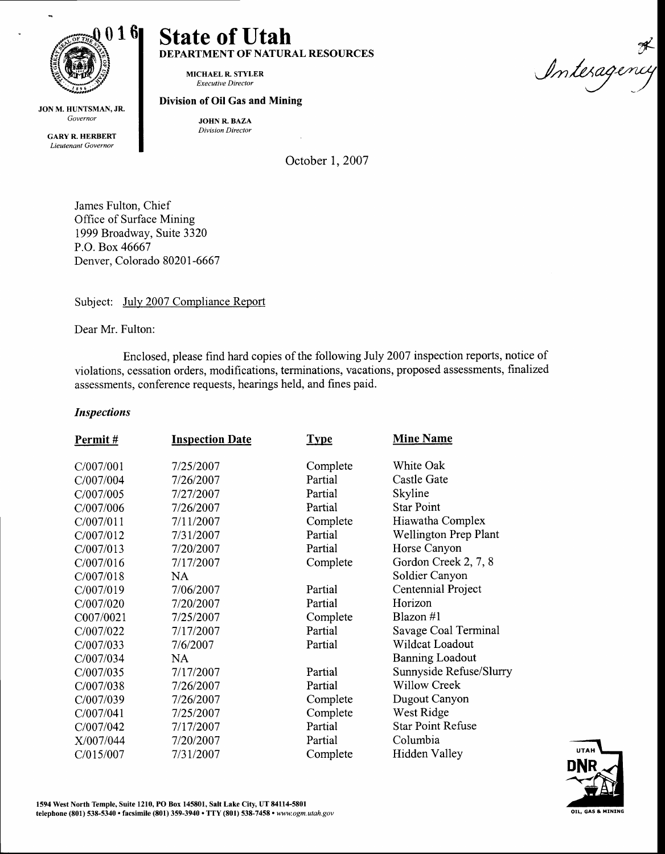

 $\overline{a}$ 

JON M. HUNTSMAN, JR. Governor

> GARY R. HERBERT Lieutenant Governor

# State of Utah DEPARTMENT OF NATURAL RESOURCES

MICHAEL R. STYLER Executive Director

### Division of Oil Gas and Mining

JOHN R. BAZA Division Director

October 1, 2007

James Fulton, Chief Office of Surface Mining 1999 Broadway, Suite 3320 P.O. Box 46667 Denver, Colorado 80201-6667

Subject: July 2007 Compliance Report

Dear Mr. Fulton:

Enclosed, please find hard copies of the following July 2007 inspection reports, notice of violations, cessation orders, modifications, terminations, vacations, proposed assessments, finalized assessments, conference requests, hearings held, and fines paid.

## Inspections

| Permit#   | <b>Inspection Date</b> | <b>Type</b> | <b>Mine Name</b>         |
|-----------|------------------------|-------------|--------------------------|
|           |                        |             |                          |
| C/007/001 | 7/25/2007              | Complete    | White Oak                |
| C/007/004 | 7/26/2007              | Partial     | Castle Gate              |
| C/007/005 | 7/27/2007              | Partial     | Skyline                  |
| C/007/006 | 7/26/2007              | Partial     | <b>Star Point</b>        |
| C/007/011 | 7/11/2007              | Complete    | Hiawatha Complex         |
| C/007/012 | 7/31/2007              | Partial     | Wellington Prep Plant    |
| C/007/013 | 7/20/2007              | Partial     | Horse Canyon             |
| C/007/016 | 7/17/2007              | Complete    | Gordon Creek 2, 7, 8     |
| C/007/018 | NA                     |             | Soldier Canyon           |
| C/007/019 | 7/06/2007              | Partial     | Centennial Project       |
| C/007/020 | 7/20/2007              | Partial     | Horizon                  |
| C007/0021 | 7/25/2007              | Complete    | Blazon #1                |
| C/007/022 | 7/17/2007              | Partial     | Savage Coal Terminal     |
| C/007/033 | 7/6/2007               | Partial     | Wildcat Loadout          |
| C/007/034 | NA.                    |             | <b>Banning Loadout</b>   |
| C/007/035 | 7/17/2007              | Partial     | Sunnyside Refuse/Slurry  |
| C/007/038 | 7/26/2007              | Partial     | <b>Willow Creek</b>      |
| C/007/039 | 7/26/2007              | Complete    | Dugout Canyon            |
| C/007/041 | 7/25/2007              | Complete    | West Ridge               |
| C/007/042 | 7/17/2007              | Partial     | <b>Star Point Refuse</b> |
| X/007/044 | 7/20/2007              | Partial     | Columbia                 |
| C/015/007 | 7/31/2007              | Complete    | Hidden Valley            |